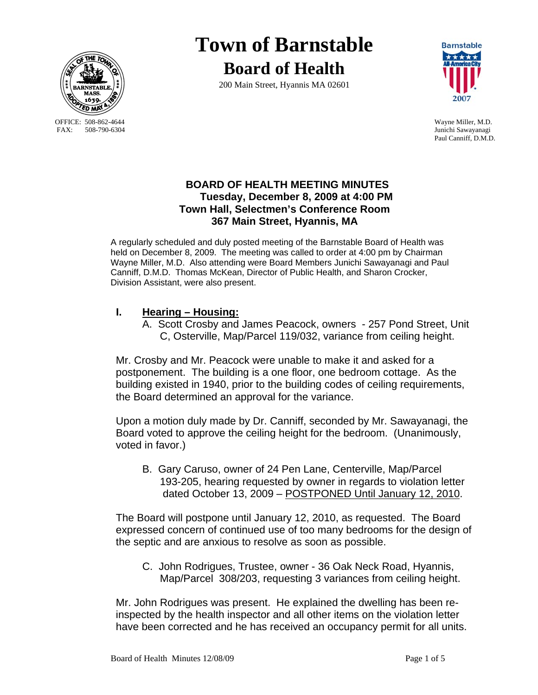

OFFICE: 508-862-4644 Wayne Miller, M.D.<br>
FAX: 508-790-6304 Junichi Sawavanagi

# **Town of Barnstable Board of Health**

200 Main Street, Hyannis MA 02601



Junichi Sawayanagi Paul Canniff, D.M.D.

# **BOARD OF HEALTH MEETING MINUTES Tuesday, December 8, 2009 at 4:00 PM Town Hall, Selectmen's Conference Room 367 Main Street, Hyannis, MA**

A regularly scheduled and duly posted meeting of the Barnstable Board of Health was held on December 8, 2009. The meeting was called to order at 4:00 pm by Chairman Wayne Miller, M.D. Also attending were Board Members Junichi Sawayanagi and Paul Canniff, D.M.D. Thomas McKean, Director of Public Health, and Sharon Crocker, Division Assistant, were also present.

# **I. Hearing – Housing:**

A. Scott Crosby and James Peacock, owners - 257 Pond Street, Unit C, Osterville, Map/Parcel 119/032, variance from ceiling height.

Mr. Crosby and Mr. Peacock were unable to make it and asked for a postponement. The building is a one floor, one bedroom cottage. As the building existed in 1940, prior to the building codes of ceiling requirements, the Board determined an approval for the variance.

Upon a motion duly made by Dr. Canniff, seconded by Mr. Sawayanagi, the Board voted to approve the ceiling height for the bedroom. (Unanimously, voted in favor.)

 B. Gary Caruso, owner of 24 Pen Lane, Centerville, Map/Parcel 193-205, hearing requested by owner in regards to violation letter dated October 13, 2009 – POSTPONED Until January 12, 2010.

The Board will postpone until January 12, 2010, as requested. The Board expressed concern of continued use of too many bedrooms for the design of the septic and are anxious to resolve as soon as possible.

 C. John Rodrigues, Trustee, owner - 36 Oak Neck Road, Hyannis, Map/Parcel 308/203, requesting 3 variances from ceiling height.

Mr. John Rodrigues was present. He explained the dwelling has been reinspected by the health inspector and all other items on the violation letter have been corrected and he has received an occupancy permit for all units.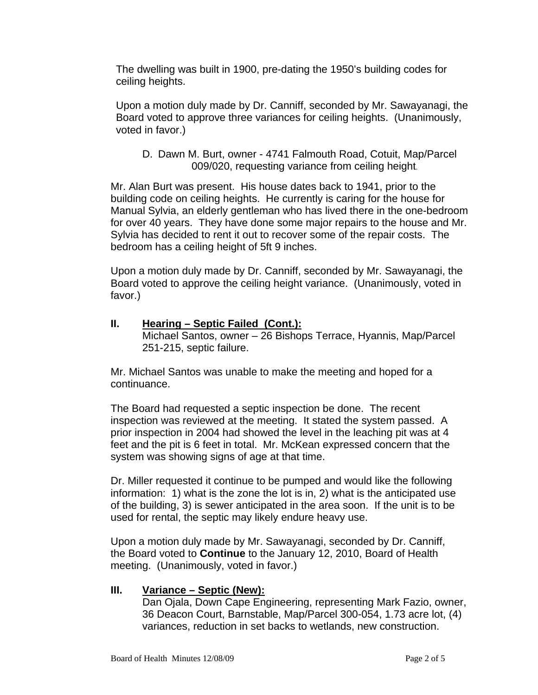The dwelling was built in 1900, pre-dating the 1950's building codes for ceiling heights.

Upon a motion duly made by Dr. Canniff, seconded by Mr. Sawayanagi, the Board voted to approve three variances for ceiling heights. (Unanimously, voted in favor.)

D. Dawn M. Burt, owner - 4741 Falmouth Road, Cotuit, Map/Parcel 009/020, requesting variance from ceiling height.

Mr. Alan Burt was present. His house dates back to 1941, prior to the building code on ceiling heights. He currently is caring for the house for Manual Sylvia, an elderly gentleman who has lived there in the one-bedroom for over 40 years. They have done some major repairs to the house and Mr. Sylvia has decided to rent it out to recover some of the repair costs. The bedroom has a ceiling height of 5ft 9 inches.

Upon a motion duly made by Dr. Canniff, seconded by Mr. Sawayanagi, the Board voted to approve the ceiling height variance. (Unanimously, voted in favor.)

**II. Hearing – Septic Failed (Cont.):** Michael Santos, owner – 26 Bishops Terrace, Hyannis, Map/Parcel 251-215, septic failure.

Mr. Michael Santos was unable to make the meeting and hoped for a continuance.

The Board had requested a septic inspection be done. The recent inspection was reviewed at the meeting. It stated the system passed. A prior inspection in 2004 had showed the level in the leaching pit was at 4 feet and the pit is 6 feet in total. Mr. McKean expressed concern that the system was showing signs of age at that time.

Dr. Miller requested it continue to be pumped and would like the following information: 1) what is the zone the lot is in, 2) what is the anticipated use of the building, 3) is sewer anticipated in the area soon. If the unit is to be used for rental, the septic may likely endure heavy use.

Upon a motion duly made by Mr. Sawayanagi, seconded by Dr. Canniff, the Board voted to **Continue** to the January 12, 2010, Board of Health meeting. (Unanimously, voted in favor.)

### **III. Variance – Septic (New):**

 Dan Ojala, Down Cape Engineering, representing Mark Fazio, owner, 36 Deacon Court, Barnstable, Map/Parcel 300-054, 1.73 acre lot, (4) variances, reduction in set backs to wetlands, new construction.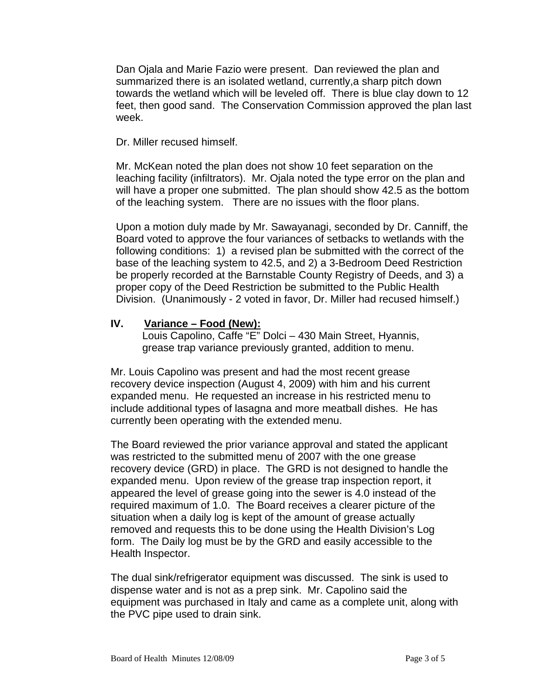Dan Ojala and Marie Fazio were present. Dan reviewed the plan and summarized there is an isolated wetland, currently,a sharp pitch down towards the wetland which will be leveled off. There is blue clay down to 12 feet, then good sand. The Conservation Commission approved the plan last week.

Dr. Miller recused himself.

Mr. McKean noted the plan does not show 10 feet separation on the leaching facility (infiltrators). Mr. Ojala noted the type error on the plan and will have a proper one submitted. The plan should show 42.5 as the bottom of the leaching system. There are no issues with the floor plans.

Upon a motion duly made by Mr. Sawayanagi, seconded by Dr. Canniff, the Board voted to approve the four variances of setbacks to wetlands with the following conditions: 1) a revised plan be submitted with the correct of the base of the leaching system to 42.5, and 2) a 3-Bedroom Deed Restriction be properly recorded at the Barnstable County Registry of Deeds, and 3) a proper copy of the Deed Restriction be submitted to the Public Health Division. (Unanimously - 2 voted in favor, Dr. Miller had recused himself.)

### **IV. Variance – Food (New):**

 Louis Capolino, Caffe "E" Dolci – 430 Main Street, Hyannis, grease trap variance previously granted, addition to menu.

Mr. Louis Capolino was present and had the most recent grease recovery device inspection (August 4, 2009) with him and his current expanded menu. He requested an increase in his restricted menu to include additional types of lasagna and more meatball dishes. He has currently been operating with the extended menu.

The Board reviewed the prior variance approval and stated the applicant was restricted to the submitted menu of 2007 with the one grease recovery device (GRD) in place. The GRD is not designed to handle the expanded menu. Upon review of the grease trap inspection report, it appeared the level of grease going into the sewer is 4.0 instead of the required maximum of 1.0. The Board receives a clearer picture of the situation when a daily log is kept of the amount of grease actually removed and requests this to be done using the Health Division's Log form. The Daily log must be by the GRD and easily accessible to the Health Inspector.

The dual sink/refrigerator equipment was discussed. The sink is used to dispense water and is not as a prep sink. Mr. Capolino said the equipment was purchased in Italy and came as a complete unit, along with the PVC pipe used to drain sink.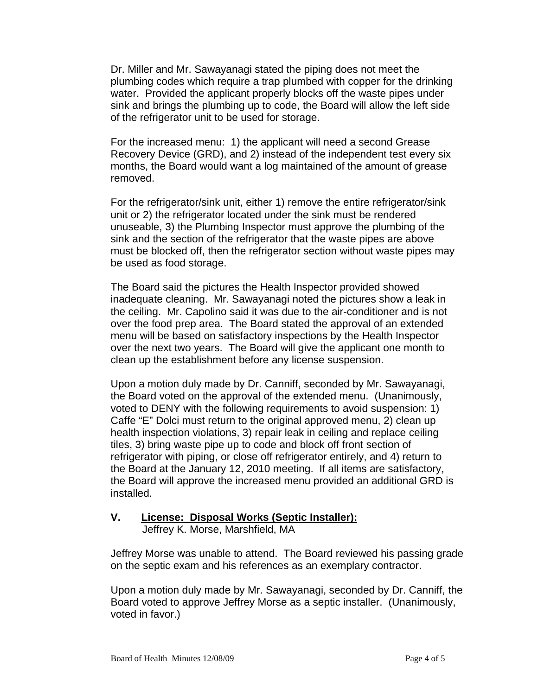Dr. Miller and Mr. Sawayanagi stated the piping does not meet the plumbing codes which require a trap plumbed with copper for the drinking water. Provided the applicant properly blocks off the waste pipes under sink and brings the plumbing up to code, the Board will allow the left side of the refrigerator unit to be used for storage.

For the increased menu: 1) the applicant will need a second Grease Recovery Device (GRD), and 2) instead of the independent test every six months, the Board would want a log maintained of the amount of grease removed.

For the refrigerator/sink unit, either 1) remove the entire refrigerator/sink unit or 2) the refrigerator located under the sink must be rendered unuseable, 3) the Plumbing Inspector must approve the plumbing of the sink and the section of the refrigerator that the waste pipes are above must be blocked off, then the refrigerator section without waste pipes may be used as food storage.

The Board said the pictures the Health Inspector provided showed inadequate cleaning. Mr. Sawayanagi noted the pictures show a leak in the ceiling. Mr. Capolino said it was due to the air-conditioner and is not over the food prep area. The Board stated the approval of an extended menu will be based on satisfactory inspections by the Health Inspector over the next two years. The Board will give the applicant one month to clean up the establishment before any license suspension.

Upon a motion duly made by Dr. Canniff, seconded by Mr. Sawayanagi, the Board voted on the approval of the extended menu. (Unanimously, voted to DENY with the following requirements to avoid suspension: 1) Caffe "E" Dolci must return to the original approved menu, 2) clean up health inspection violations, 3) repair leak in ceiling and replace ceiling tiles, 3) bring waste pipe up to code and block off front section of refrigerator with piping, or close off refrigerator entirely, and 4) return to the Board at the January 12, 2010 meeting. If all items are satisfactory, the Board will approve the increased menu provided an additional GRD is installed.

#### **V. License: Disposal Works (Septic Installer):** Jeffrey K. Morse, Marshfield, MA

Jeffrey Morse was unable to attend. The Board reviewed his passing grade on the septic exam and his references as an exemplary contractor.

Upon a motion duly made by Mr. Sawayanagi, seconded by Dr. Canniff, the Board voted to approve Jeffrey Morse as a septic installer. (Unanimously, voted in favor.)